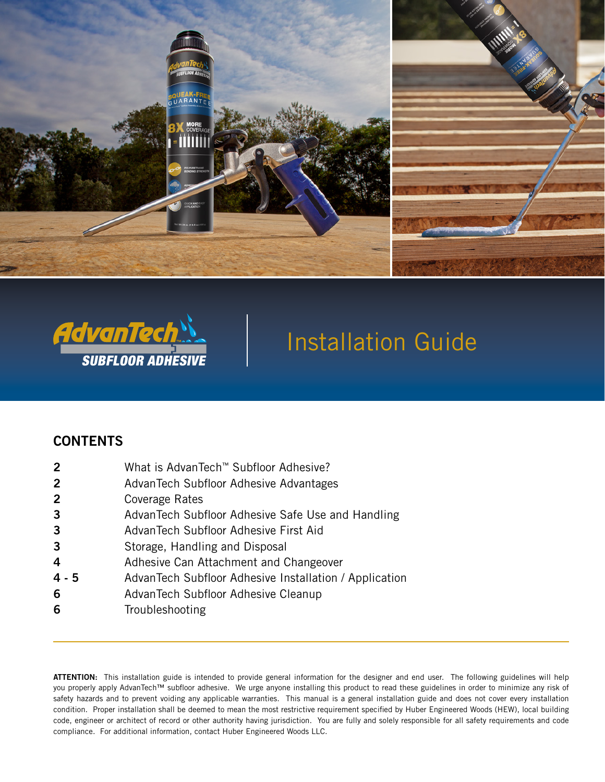



# Installation Guide

# **CONTENTS**

- 2 What is AdvanTech<sup>™</sup> Subfloor Adhesive?
- 2 **AdvanTech Subfloor Adhesive Advantages**
- 2 Coverage Rates
- **3** AdvanTech Subfloor Adhesive Safe Use and Handling
- **3** AdvanTech Subfloor Adhesive First Aid
- 3 **Storage, Handling and Disposal**
- 4 Adhesive Can Attachment and Changeover
- 4 5 AdvanTech Subfloor Adhesive Installation / Application
- 6 **6** AdvanTech Subfloor Adhesive Cleanup
- 6 Troubleshooting

ATTENTION: This installation guide is intended to provide general information for the designer and end user. The following guidelines will help you properly apply AdvanTech™ subfloor adhesive. We urge anyone installing this product to read these guidelines in order to minimize any risk of safety hazards and to prevent voiding any applicable warranties. This manual is a general installation guide and does not cover every installation condition. Proper installation shall be deemed to mean the most restrictive requirement specified by Huber Engineered Woods (HEW), local building code, engineer or architect of record or other authority having jurisdiction. You are fully and solely responsible for all safety requirements and code compliance. For additional information, contact Huber Engineered Woods LLC.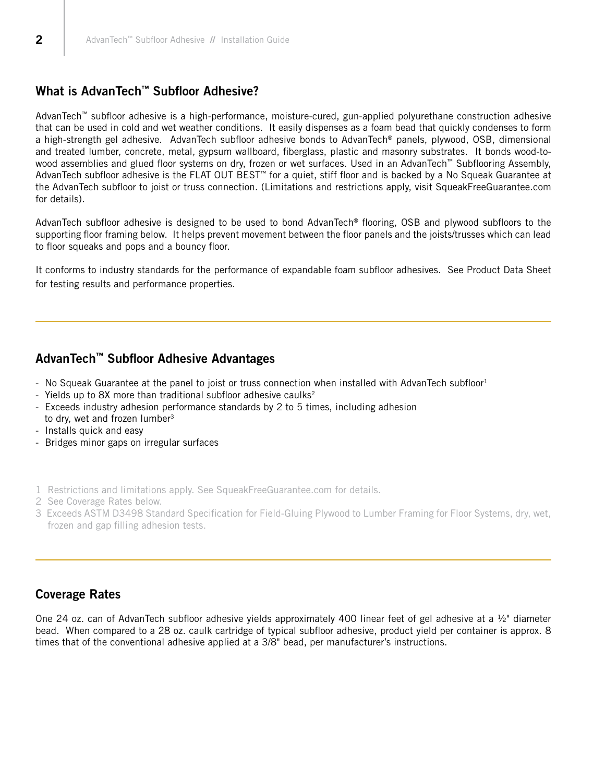## What is AdvanTech™ Subfloor Adhesive?

AdvanTech™ subfloor adhesive is a high-performance, moisture-cured, gun-applied polyurethane construction adhesive that can be used in cold and wet weather conditions. It easily dispenses as a foam bead that quickly condenses to form a high-strength gel adhesive. AdvanTech subfloor adhesive bonds to AdvanTech® panels, plywood, OSB, dimensional and treated lumber, concrete, metal, gypsum wallboard, fiberglass, plastic and masonry substrates. It bonds wood-towood assemblies and glued floor systems on dry, frozen or wet surfaces. Used in an AdvanTech™ Subflooring Assembly, AdvanTech subfloor adhesive is the FLAT OUT BEST™ for a quiet, stiff floor and is backed by a No Squeak Guarantee at the AdvanTech subfloor to joist or truss connection. (Limitations and restrictions apply, visit SqueakFreeGuarantee.com for details).

AdvanTech subfloor adhesive is designed to be used to bond AdvanTech® flooring, OSB and plywood subfloors to the supporting floor framing below. It helps prevent movement between the floor panels and the joists/trusses which can lead to floor squeaks and pops and a bouncy floor.

It conforms to industry standards for the performance of expandable foam subfloor adhesives. See Product Data Sheet for testing results and performance properties.

## AdvanTech™ Subfloor Adhesive Advantages

- No Squeak Guarantee at the panel to joist or truss connection when installed with AdvanTech subfloor<sup>1</sup>
- Yields up to 8X more than traditional subfloor adhesive caulks<sup>2</sup>
- Exceeds industry adhesion performance standards by 2 to 5 times, including adhesion to dry, wet and frozen lumber<sup>3</sup>
- Installs quick and easy
- Bridges minor gaps on irregular surfaces
- 1 Restrictions and limitations apply. See SqueakFreeGuarantee.com for details.
- 2 See Coverage Rates below.
- 3 Exceeds ASTM D3498 Standard Specification for Field-Gluing Plywood to Lumber Framing for Floor Systems, dry, wet, frozen and gap filling adhesion tests.

## Coverage Rates

One 24 oz. can of AdvanTech subfloor adhesive yields approximately 400 linear feet of gel adhesive at a 1/2" diameter bead. When compared to a 28 oz. caulk cartridge of typical subfloor adhesive, product yield per container is approx. 8 times that of the conventional adhesive applied at a 3/8" bead, per manufacturer's instructions.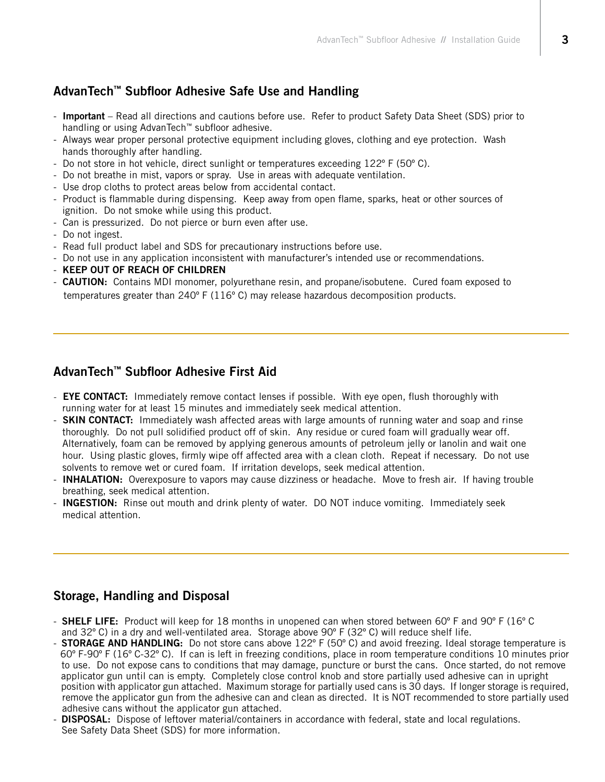## AdvanTech™ Subfloor Adhesive Safe Use and Handling

- Important Read all directions and cautions before use. Refer to product Safety Data Sheet (SDS) prior to handling or using AdvanTech™ subfloor adhesive.
- Always wear proper personal protective equipment including gloves, clothing and eye protection. Wash hands thoroughly after handling.
- Do not store in hot vehicle, direct sunlight or temperatures exceeding 122° F (50°C).
- Do not breathe in mist, vapors or spray. Use in areas with adequate ventilation.
- Use drop cloths to protect areas below from accidental contact.
- Product is flammable during dispensing. Keep away from open flame, sparks, heat or other sources of ignition. Do not smoke while using this product.
- Can is pressurized. Do not pierce or burn even after use.
- Do not ingest.
- Read full product label and SDS for precautionary instructions before use.
- Do not use in any application inconsistent with manufacturer's intended use or recommendations.
- KEEP OUT OF REACH OF CHILDREN
- **CAUTION:** Contains MDI monomer, polyurethane resin, and propane/isobutene. Cured foam exposed to temperatures greater than 240º F (116º C) may release hazardous decomposition products.

## AdvanTech™ Subfloor Adhesive First Aid

- EYE CONTACT: Immediately remove contact lenses if possible. With eye open, flush thoroughly with running water for at least 15 minutes and immediately seek medical attention.
- **SKIN CONTACT:** Immediately wash affected areas with large amounts of running water and soap and rinse thoroughly. Do not pull solidified product off of skin. Any residue or cured foam will gradually wear off. Alternatively, foam can be removed by applying generous amounts of petroleum jelly or lanolin and wait one hour. Using plastic gloves, firmly wipe off affected area with a clean cloth. Repeat if necessary. Do not use solvents to remove wet or cured foam. If irritation develops, seek medical attention.
- **INHALATION:** Overexposure to vapors may cause dizziness or headache. Move to fresh air. If having trouble breathing, seek medical attention.
- **INGESTION:** Rinse out mouth and drink plenty of water. DO NOT induce vomiting. Immediately seek medical attention.

### Storage, Handling and Disposal

- **SHELF LIFE:** Product will keep for 18 months in unopened can when stored between 60° F and 90° F (16° C and 32º C) in a dry and well-ventilated area. Storage above 90º F (32º C) will reduce shelf life.
- STORAGE AND HANDLING: Do not store cans above 122º F (50º C) and avoid freezing. Ideal storage temperature is 60º F-90º F (16º C-32º C). If can is left in freezing conditions, place in room temperature conditions 10 minutes prior to use. Do not expose cans to conditions that may damage, puncture or burst the cans. Once started, do not remove applicator gun until can is empty. Completely close control knob and store partially used adhesive can in upright position with applicator gun attached. Maximum storage for partially used cans is 30 days. If longer storage is required, remove the applicator gun from the adhesive can and clean as directed. It is NOT recommended to store partially used adhesive cans without the applicator gun attached.
- **DISPOSAL:** Dispose of leftover material/containers in accordance with federal, state and local regulations. See Safety Data Sheet (SDS) for more information.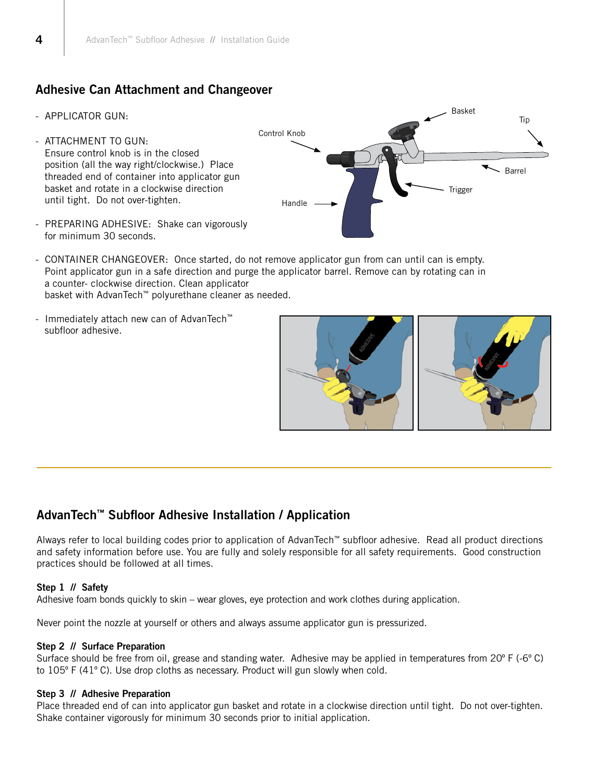# Adhesive Can Attachment and Changeover

- APPLICATOR GUN:
- ATTACHMENT TO GUN: Ensure control knob is in the closed position (all the way right/clockwise.) Place threaded end of container into applicator gun basket and rotate in a clockwise direction until tight. Do not over-tighten.



- PREPARING ADHESIVE: Shake can vigorously for minimum 30 seconds.
- CONTAINER CHANGEOVER: Once started, do not remove applicator gun from can until can is empty. Point applicator gun in a safe direction and purge the applicator barrel. Remove can by rotating can in a counter- clockwise direction. Clean applicator basket with AdvanTech™ polyurethane cleaner as needed.
- Immediately attach new can of AdvanTech™ subfloor adhesive.



## AdvanTech™ Subfloor Adhesive Installation / Application

Always refer to local building codes prior to application of AdvanTech™ subfloor adhesive. Read all product directions and safety information before use. You are fully and solely responsible for all safety requirements. Good construction practices should be followed at all times.

### Step 1 // Safety

Adhesive foam bonds quickly to skin – wear gloves, eye protection and work clothes during application.

Never point the nozzle at yourself or others and always assume applicator gun is pressurized.

#### Step 2 // Surface Preparation

Surface should be free from oil, grease and standing water. Adhesive may be applied in temperatures from 20º F (-6º C) to 105º F (41º C). Use drop cloths as necessary. Product will gun slowly when cold.

#### Step 3 // Adhesive Preparation

Place threaded end of can into applicator gun basket and rotate in a clockwise direction until tight. Do not over-tighten. Shake container vigorously for minimum 30 seconds prior to initial application.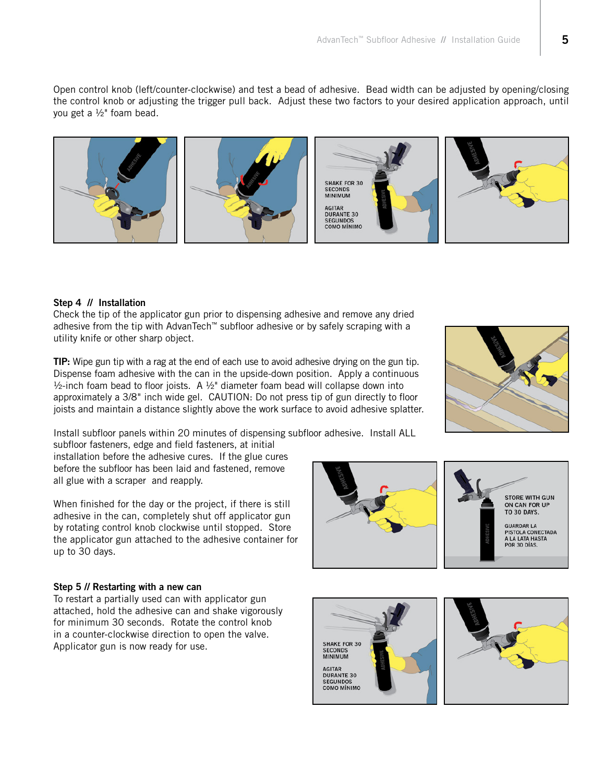Open control knob (left/counter-clockwise) and test a bead of adhesive. Bead width can be adjusted by opening/closing the control knob or adjusting the trigger pull back. Adjust these two factors to your desired application approach, until you get a ½" foam bead.



#### Step 4 // Installation

Check the tip of the applicator gun prior to dispensing adhesive and remove any dried adhesive from the tip with AdvanTech™ subfloor adhesive or by safely scraping with a utility knife or other sharp object.

TIP: Wipe gun tip with a rag at the end of each use to avoid adhesive drying on the gun tip. Dispense foam adhesive with the can in the upside-down position. Apply a continuous  $\frac{1}{2}$ -inch foam bead to floor joists. A  $\frac{1}{2}$ " diameter foam bead will collapse down into approximately a 3/8" inch wide gel. CAUTION: Do not press tip of gun directly to floor joists and maintain a distance slightly above the work surface to avoid adhesive splatter.

Install subfloor panels within 20 minutes of dispensing subfloor adhesive. Install ALL

subfloor fasteners, edge and field fasteners, at initial installation before the adhesive cures. If the glue cures before the subfloor has been laid and fastened, remove all glue with a scraper and reapply.

When finished for the day or the project, if there is still adhesive in the can, completely shut off applicator gun by rotating control knob clockwise until stopped. Store the applicator gun attached to the adhesive container for up to 30 days.

#### Step 5 // Restarting with a new can

To restart a partially used can with applicator gun attached, hold the adhesive can and shake vigorously for minimum 30 seconds. Rotate the control knob in a counter-clockwise direction to open the valve. Applicator gun is now ready for use.





SHAKE FOR 30 **SECONDS MINIMUM AGITAR DURANTE 30 SEGUNDOS COMO MÍNIMO** 



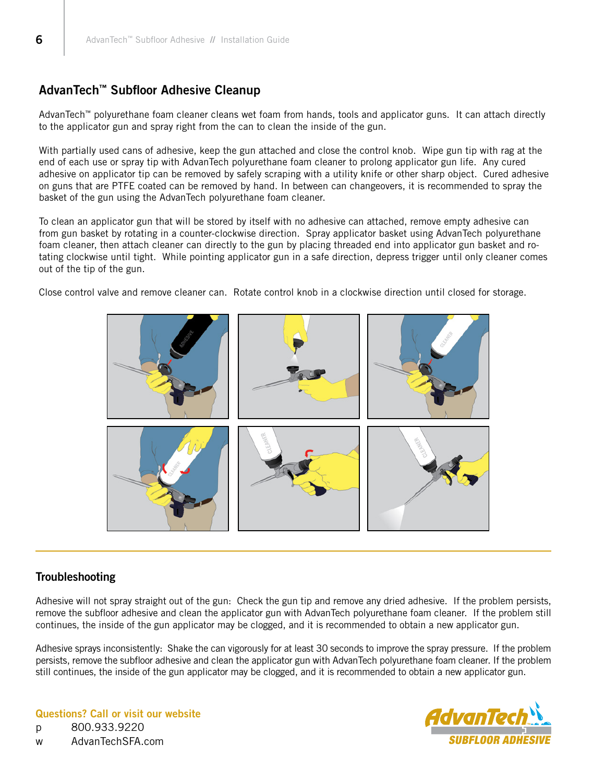# AdvanTech™ Subfloor Adhesive Cleanup

AdvanTech™ polyurethane foam cleaner cleans wet foam from hands, tools and applicator guns. It can attach directly to the applicator gun and spray right from the can to clean the inside of the gun.

With partially used cans of adhesive, keep the gun attached and close the control knob. Wipe gun tip with rag at the end of each use or spray tip with AdvanTech polyurethane foam cleaner to prolong applicator gun life. Any cured adhesive on applicator tip can be removed by safely scraping with a utility knife or other sharp object. Cured adhesive on guns that are PTFE coated can be removed by hand. In between can changeovers, it is recommended to spray the basket of the gun using the AdvanTech polyurethane foam cleaner.

To clean an applicator gun that will be stored by itself with no adhesive can attached, remove empty adhesive can from gun basket by rotating in a counter-clockwise direction. Spray applicator basket using AdvanTech polyurethane foam cleaner, then attach cleaner can directly to the gun by placing threaded end into applicator gun basket and rotating clockwise until tight. While pointing applicator gun in a safe direction, depress trigger until only cleaner comes out of the tip of the gun.

Close control valve and remove cleaner can. Rotate control knob in a clockwise direction until closed for storage.



## **Troubleshooting**

Adhesive will not spray straight out of the gun: Check the gun tip and remove any dried adhesive. If the problem persists, remove the subfloor adhesive and clean the applicator gun with AdvanTech polyurethane foam cleaner. If the problem still continues, the inside of the gun applicator may be clogged, and it is recommended to obtain a new applicator gun.

Adhesive sprays inconsistently: Shake the can vigorously for at least 30 seconds to improve the spray pressure. If the problem persists, remove the subfloor adhesive and clean the applicator gun with AdvanTech polyurethane foam cleaner. If the problem still continues, the inside of the gun applicator may be clogged, and it is recommended to obtain a new applicator gun.

Questions? Call or visit our website p 800.933.9220 w AdvanTechSFA.com

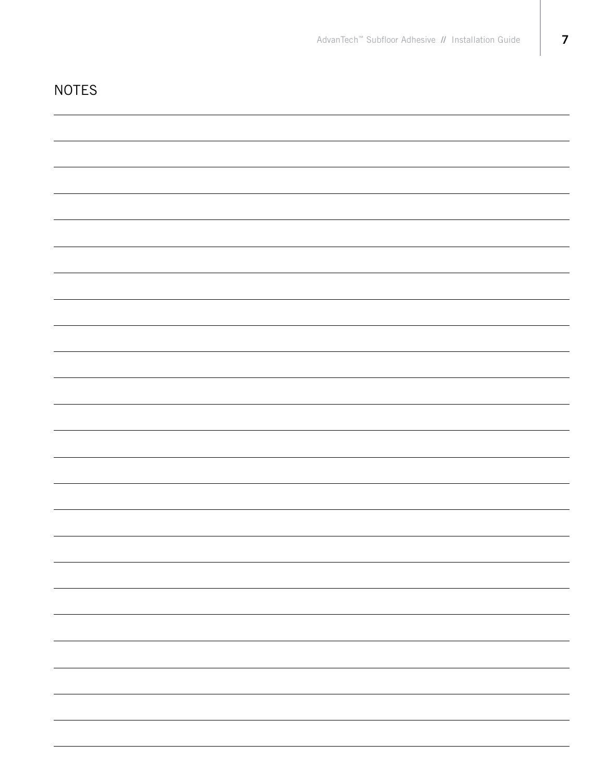| <b>NOTES</b> |                          |
|--------------|--------------------------|
|              |                          |
|              |                          |
|              |                          |
|              |                          |
|              |                          |
|              |                          |
|              |                          |
|              |                          |
|              |                          |
|              |                          |
|              |                          |
|              |                          |
|              |                          |
|              |                          |
|              |                          |
|              |                          |
|              | $\overline{\phantom{0}}$ |
|              | $\overline{\phantom{0}}$ |
|              | $\overline{\phantom{0}}$ |
|              |                          |
|              |                          |
|              | $\overline{\phantom{0}}$ |
|              | -                        |
|              |                          |